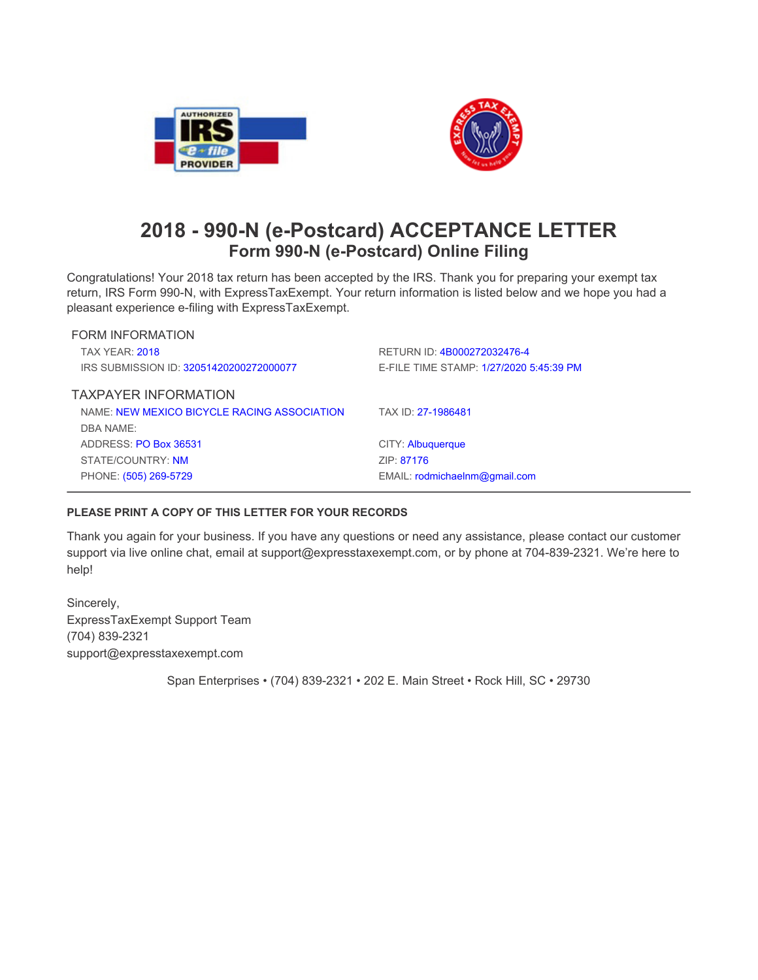



## **2018 - 990-N (e-Postcard) ACCEPTANCE LETTER Form 990-N (e-Postcard) Online Filing**

Congratulations! Your 2018 tax return has been accepted by the IRS. Thank you for preparing your exempt tax return, IRS Form 990-N, with ExpressTaxExempt. Your return information is listed below and we hope you had a **pleasant experience e-filing with ExpressTaxExempt.**

| <b>FORM INFORMATION</b>                     |                                         |
|---------------------------------------------|-----------------------------------------|
| <b>TAX YEAR: 2018</b>                       | RETURN ID: 4B000272032476-4             |
| IRS SUBMISSION ID: 32051420200272000077     | E-FILE TIME STAMP: 1/27/2020 5:45:39 PM |
| <b>TAXPAYER INFORMATION</b>                 |                                         |
| NAME: NEW MEXICO BICYCLE RACING ASSOCIATION | TAX ID: 27-1986481                      |
| DBA NAME:                                   |                                         |
| ADDRESS: PO Box 36531                       | CITY: Albuquerque                       |
| STATE/COUNTRY: NM                           | ZIP: 87176                              |
| PHONE: (505) 269-5729                       | EMAIL: rodmichaelnm@gmail.com           |
|                                             |                                         |

## **PLEASE PRINT A COPY OF THIS LETTER FOR YOUR RECORDS**

Thank you again for your business. If you have any questions or need any assistance, please contact our customer **support via live online chat, email at support@expresstaxexempt.com, or by phone at 704-839-2321. We're here to help!**

**Sincerely, ExpressTaxExempt Support Team (704) 839-2321 support@expresstaxexempt.com**

**Span Enterprises • (704) 839-2321 • 202 E. Main Street • Rock Hill, SC • 29730**